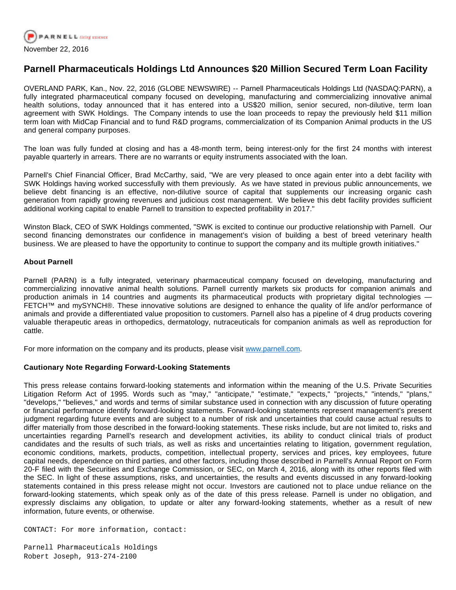

## **Parnell Pharmaceuticals Holdings Ltd Announces \$20 Million Secured Term Loan Facility**

OVERLAND PARK, Kan., Nov. 22, 2016 (GLOBE NEWSWIRE) -- Parnell Pharmaceuticals Holdings Ltd (NASDAQ:PARN), a fully integrated pharmaceutical company focused on developing, manufacturing and commercializing innovative animal health solutions, today announced that it has entered into a US\$20 million, senior secured, non-dilutive, term loan agreement with SWK Holdings. The Company intends to use the loan proceeds to repay the previously held \$11 million term loan with MidCap Financial and to fund R&D programs, commercialization of its Companion Animal products in the US and general company purposes.

The loan was fully funded at closing and has a 48-month term, being interest-only for the first 24 months with interest payable quarterly in arrears. There are no warrants or equity instruments associated with the loan.

Parnell's Chief Financial Officer, Brad McCarthy, said, "We are very pleased to once again enter into a debt facility with SWK Holdings having worked successfully with them previously. As we have stated in previous public announcements, we believe debt financing is an effective, non-dilutive source of capital that supplements our increasing organic cash generation from rapidly growing revenues and judicious cost management. We believe this debt facility provides sufficient additional working capital to enable Parnell to transition to expected profitability in 2017."

Winston Black, CEO of SWK Holdings commented, "SWK is excited to continue our productive relationship with Parnell. Our second financing demonstrates our confidence in management's vision of building a best of breed veterinary health business. We are pleased to have the opportunity to continue to support the company and its multiple growth initiatives."

## **About Parnell**

Parnell (PARN) is a fully integrated, veterinary pharmaceutical company focused on developing, manufacturing and commercializing innovative animal health solutions. Parnell currently markets six products for companion animals and production animals in 14 countries and augments its pharmaceutical products with proprietary digital technologies — FETCH™ and mySYNCH®. These innovative solutions are designed to enhance the quality of life and/or performance of animals and provide a differentiated value proposition to customers. Parnell also has a pipeline of 4 drug products covering valuable therapeutic areas in orthopedics, dermatology, nutraceuticals for companion animals as well as reproduction for cattle.

For more information on the company and its products, please visit [www.parnell.com.](https://www.globenewswire.com/Tracker?data=hxT2UpvCGx5XBDmXxwVtecNDQ3y8XhG_K1NcTttInMTTnaQW5zPg7Jva-IAsl6IcnFI9vPT_W8M_AzLElo0EHg==)

## **Cautionary Note Regarding Forward-Looking Statements**

This press release contains forward-looking statements and information within the meaning of the U.S. Private Securities Litigation Reform Act of 1995. Words such as "may," "anticipate," "estimate," "expects," "projects," "intends," "plans," "develops," "believes," and words and terms of similar substance used in connection with any discussion of future operating or financial performance identify forward-looking statements. Forward-looking statements represent management's present judgment regarding future events and are subject to a number of risk and uncertainties that could cause actual results to differ materially from those described in the forward-looking statements. These risks include, but are not limited to, risks and uncertainties regarding Parnell's research and development activities, its ability to conduct clinical trials of product candidates and the results of such trials, as well as risks and uncertainties relating to litigation, government regulation, economic conditions, markets, products, competition, intellectual property, services and prices, key employees, future capital needs, dependence on third parties, and other factors, including those described in Parnell's Annual Report on Form 20-F filed with the Securities and Exchange Commission, or SEC, on March 4, 2016, along with its other reports filed with the SEC. In light of these assumptions, risks, and uncertainties, the results and events discussed in any forward-looking statements contained in this press release might not occur. Investors are cautioned not to place undue reliance on the forward-looking statements, which speak only as of the date of this press release. Parnell is under no obligation, and expressly disclaims any obligation, to update or alter any forward-looking statements, whether as a result of new information, future events, or otherwise.

CONTACT: For more information, contact:

Parnell Pharmaceuticals Holdings Robert Joseph, 913-274-2100